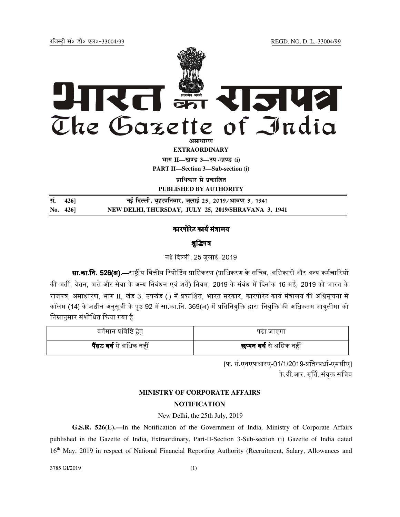jftLVªh laö Mhö ,yö&33004@99 REGD. NO. D. L.-33004/99



**EXTRAORDINARY Hkkx II—[k.M 3—mi -[k.M (i) PART II—Section 3—Sub-section (i)** 

**प्राधिकार से प्रकाशित** 

**PUBLISHED BY AUTHORITY**

| सं. 426]    | नई दिल्ली, बृहस्पतिवार, जुलाई 25, 2019∕श्रावण 3, 1941 |
|-------------|-------------------------------------------------------|
| No. $426$ ] | NEW DELHI, THURSDAY, JULY 25, 2019/SHRAVANA 3, 1941   |

### कारपोरेट कार्य मंत्रालय

## शुद्धिपत्र

नई दिल्ली. 25 जलाई. 2019

**सा.का.नि. 526(अ).**—राष्ट्रीय वित्तीय रिपोर्टिंग प्राधिकरण (प्राधिकरण के सचिव. अधिकारी और अन्य कर्मचारियों की भर्ती. वेतन. भत्ते और सेवा के अन्य निबंधन एवं शर्तें) नियम. 2019 के संबंध में दिनांक 16 मई. 2019 को भारत के राजपत्र, असाधारण, भाग II, खंड 3, उपखंड (i) में प्रकाशित, भारत सरकार, कारपोरेट कार्य मंत्रालय की अधिसूचना में कॉलम (14) के अधीन अनसची के पष्ठ 92 में सा.का.नि. 369(अ) में प्रतिनियक्ति द्वारा नियक्ति की अधिकतम आयसीमा को निम्नानसार संशोधित किया गया है:

| वर्तमान प्रविष्टि हेतु         | पढा जाएगा                      |
|--------------------------------|--------------------------------|
| <b>पैंसठ वर्ष</b> से अधिक नहीं | <b>छप्पन वर्ष</b> से अधिक नहीं |

[फ. सं.एनएफआरए-01/1/2019-प्रतिस्पर्धा-एमसीए] के वी आर मृर्ति, संयुक्त सचिव

# **MINISTRY OF CORPORATE AFFAIRS**

# **NOTIFICATION**

#### New Delhi, the 25th July, 2019

**G.S.R. 526(E).—**In the Notification of the Government of India, Ministry of Corporate Affairs published in the Gazette of India, Extraordinary, Part-II-Section 3-Sub-section (i) Gazette of India dated 16<sup>th</sup> May, 2019 in respect of National Financial Reporting Authority (Recruitment, Salary, Allowances and

3785 GI/2019 (1)